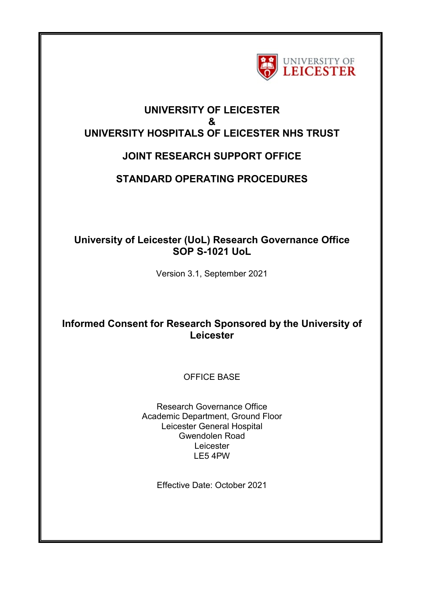

## **UNIVERSITY OF LEICESTER & UNIVERSITY HOSPITALS OF LEICESTER NHS TRUST**

# **JOINT RESEARCH SUPPORT OFFICE**

# **STANDARD OPERATING PROCEDURES**

## **University of Leicester (UoL) Research Governance Office SOP S-1021 UoL**

Version 3.1, September 2021

## **Informed Consent for Research Sponsored by the University of Leicester**

## OFFICE BASE

Research Governance Office Academic Department, Ground Floor Leicester General Hospital Gwendolen Road Leicester LE5 4PW

Effective Date: October 2021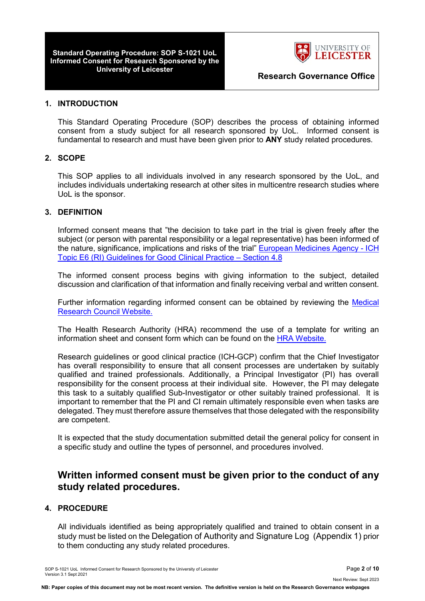**Standard Operating Procedure: SOP S-1021 UoL Informed Consent for Research Sponsored by the** 



**Research Governance Office** 

#### **1. INTRODUCTION**

This Standard Operating Procedure (SOP) describes the process of obtaining informed consent from a study subject for all research sponsored by UoL. Informed consent is fundamental to research and must have been given prior to **ANY** study related procedures.

## **2. SCOPE**

This SOP applies to all individuals involved in any research sponsored by the UoL, and includes individuals undertaking research at other sites in multicentre research studies where UoL is the sponsor.

### **3. DEFINITION**

Informed consent means that "the decision to take part in the trial is given freely after the subject (or person with parental responsibility or a legal representative) has been informed of the nature, significance, implications and risks of the trial" [European Medicines Agency -](http://ethikkommission.meduniwien.ac.at/fileadmin/ethik/media/dokumente/rechtsgrundlagen/GCP.pdf) ICH [Topic E6 \(RI\) Guidelines for Good Clinical Practice –](http://ethikkommission.meduniwien.ac.at/fileadmin/ethik/media/dokumente/rechtsgrundlagen/GCP.pdf) Section 4.8

The informed consent process begins with giving information to the subject, detailed discussion and clarification of that information and finally receiving verbal and written consent.

Further information regarding informed consent can be obtained by reviewing the [Medical](http://www.mrc.ac.uk/)  [Research Council](http://www.mrc.ac.uk/) Website.

The Health Research Authority (HRA) recommend the use of a template for writing an information sheet and consent form which can be found on the [HRA Website.](http://www.hra.nhs.uk/resources/before-you-apply/consent-and-participation/consent-and-participant-information/)

Research guidelines or good clinical practice (ICH-GCP) confirm that the Chief Investigator has overall responsibility to ensure that all consent processes are undertaken by suitably qualified and trained professionals. Additionally, a Principal Investigator (PI) has overall responsibility for the consent process at their individual site. However, the PI may delegate this task to a suitably qualified Sub-Investigator or other suitably trained professional. It is important to remember that the PI and CI remain ultimately responsible even when tasks are delegated. They must therefore assure themselves that those delegated with the responsibility are competent.

It is expected that the study documentation submitted detail the general policy for consent in a specific study and outline the types of personnel, and procedures involved.

## **Written informed consent must be given prior to the conduct of any study related procedures.**

## **4. PROCEDURE**

All individuals identified as being appropriately qualified and trained to obtain consent in a study must be listed on the Delegation of Authority and Signature Log (Appendix 1) prior to them conducting any study related procedures.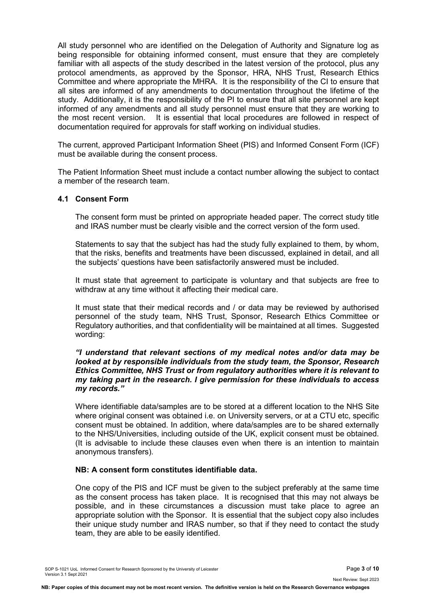All study personnel who are identified on the Delegation of Authority and Signature log as being responsible for obtaining informed consent, must ensure that they are completely familiar with all aspects of the study described in the latest version of the protocol, plus any protocol amendments, as approved by the Sponsor, HRA, NHS Trust, Research Ethics Committee and where appropriate the MHRA. It is the responsibility of the CI to ensure that all sites are informed of any amendments to documentation throughout the lifetime of the study. Additionally, it is the responsibility of the PI to ensure that all site personnel are kept informed of any amendments and all study personnel must ensure that they are working to the most recent version. It is essential that local procedures are followed in respect of documentation required for approvals for staff working on individual studies.

The current, approved Participant Information Sheet (PIS) and Informed Consent Form (ICF) must be available during the consent process.

The Patient Information Sheet must include a contact number allowing the subject to contact a member of the research team.

### **4.1 Consent Form**

The consent form must be printed on appropriate headed paper. The correct study title and IRAS number must be clearly visible and the correct version of the form used.

Statements to say that the subject has had the study fully explained to them, by whom, that the risks, benefits and treatments have been discussed, explained in detail, and all the subjects' questions have been satisfactorily answered must be included.

It must state that agreement to participate is voluntary and that subjects are free to withdraw at any time without it affecting their medical care.

It must state that their medical records and / or data may be reviewed by authorised personnel of the study team, NHS Trust, Sponsor, Research Ethics Committee or Regulatory authorities, and that confidentiality will be maintained at all times. Suggested wording:

#### *"I understand that relevant sections of my medical notes and/or data may be looked at by responsible individuals from the study team, the Sponsor, Research Ethics Committee, NHS Trust or from regulatory authorities where it is relevant to my taking part in the research. I give permission for these individuals to access my records."*

Where identifiable data/samples are to be stored at a different location to the NHS Site where original consent was obtained i.e. on University servers, or at a CTU etc, specific consent must be obtained. In addition, where data/samples are to be shared externally to the NHS/Universities, including outside of the UK, explicit consent must be obtained. (It is advisable to include these clauses even when there is an intention to maintain anonymous transfers).

## **NB: A consent form constitutes identifiable data.**

One copy of the PIS and ICF must be given to the subject preferably at the same time as the consent process has taken place. It is recognised that this may not always be possible, and in these circumstances a discussion must take place to agree an appropriate solution with the Sponsor. It is essential that the subject copy also includes their unique study number and IRAS number, so that if they need to contact the study team, they are able to be easily identified.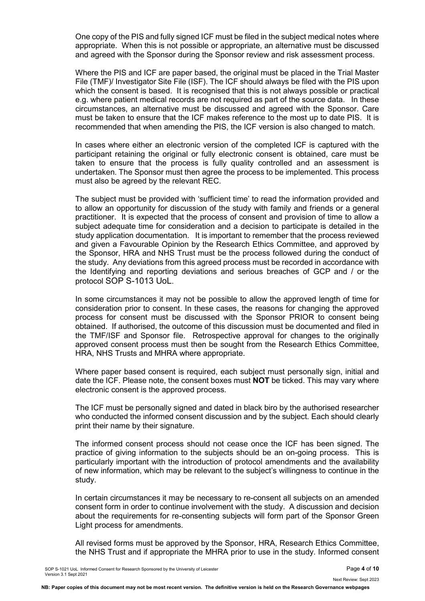One copy of the PIS and fully signed ICF must be filed in the subject medical notes where appropriate. When this is not possible or appropriate, an alternative must be discussed and agreed with the Sponsor during the Sponsor review and risk assessment process.

Where the PIS and ICF are paper based, the original must be placed in the Trial Master File (TMF)/ Investigator Site File (ISF). The ICF should always be filed with the PIS upon which the consent is based. It is recognised that this is not always possible or practical e.g. where patient medical records are not required as part of the source data. In these circumstances, an alternative must be discussed and agreed with the Sponsor. Care must be taken to ensure that the ICF makes reference to the most up to date PIS. It is recommended that when amending the PIS, the ICF version is also changed to match.

In cases where either an electronic version of the completed ICF is captured with the participant retaining the original or fully electronic consent is obtained, care must be taken to ensure that the process is fully quality controlled and an assessment is undertaken. The Sponsor must then agree the process to be implemented. This process must also be agreed by the relevant REC.

The subject must be provided with 'sufficient time' to read the information provided and to allow an opportunity for discussion of the study with family and friends or a general practitioner. It is expected that the process of consent and provision of time to allow a subject adequate time for consideration and a decision to participate is detailed in the study application documentation. It is important to remember that the process reviewed and given a Favourable Opinion by the Research Ethics Committee, and approved by the Sponsor, HRA and NHS Trust must be the process followed during the conduct of the study. Any deviations from this agreed process must be recorded in accordance with the Identifying and reporting deviations and serious breaches of GCP and / or the protocol SOP S-1013 UoL.

In some circumstances it may not be possible to allow the approved length of time for consideration prior to consent. In these cases, the reasons for changing the approved process for consent must be discussed with the Sponsor PRIOR to consent being obtained. If authorised, the outcome of this discussion must be documented and filed in the TMF/ISF and Sponsor file. Retrospective approval for changes to the originally approved consent process must then be sought from the Research Ethics Committee, HRA, NHS Trusts and MHRA where appropriate.

Where paper based consent is required, each subject must personally sign, initial and date the ICF. Please note, the consent boxes must **NOT** be ticked. This may vary where electronic consent is the approved process.

The ICF must be personally signed and dated in black biro by the authorised researcher who conducted the informed consent discussion and by the subject. Each should clearly print their name by their signature.

The informed consent process should not cease once the ICF has been signed. The practice of giving information to the subjects should be an on-going process. This is particularly important with the introduction of protocol amendments and the availability of new information, which may be relevant to the subject's willingness to continue in the study.

In certain circumstances it may be necessary to re-consent all subjects on an amended consent form in order to continue involvement with the study. A discussion and decision about the requirements for re-consenting subjects will form part of the Sponsor Green Light process for amendments.

All revised forms must be approved by the Sponsor, HRA, Research Ethics Committee, the NHS Trust and if appropriate the MHRA prior to use in the study. Informed consent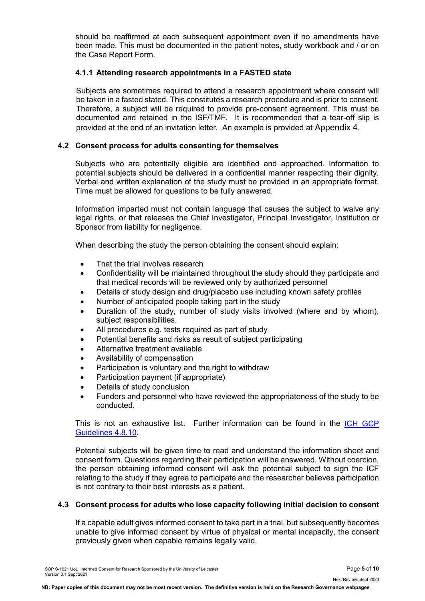should be reaffirmed at each subsequent appointment even if no amendments have been made. This must be documented in the patient notes, study workbook and / or on the Case Report Form.

## **4.1.1 Attending research appointments in a FASTED state**

Subjects are sometimes required to attend a research appointment where consent will be taken in a fasted stated. This constitutes a research procedure and is prior to consent. Therefore, a subject will be required to provide pre-consent agreement. This must be documented and retained in the ISF/TMF. It is recommended that a tear-off slip is provided at the end of an invitation letter. An example is provided at Appendix 4.

#### **4.2 Consent process for adults consenting for themselves**

Subjects who are potentially eligible are identified and approached. Information to potential subjects should be delivered in a confidential manner respecting their dignity. Verbal and written explanation of the study must be provided in an appropriate format. Time must be allowed for questions to be fully answered.

Information imparted must not contain language that causes the subject to waive any legal rights, or that releases the Chief Investigator, Principal Investigator, Institution or Sponsor from liability for negligence.

When describing the study the person obtaining the consent should explain:

- That the trial involves research
- Confidentiality will be maintained throughout the study should they participate and that medical records will be reviewed only by authorized personnel
- Details of study design and drug/placebo use including known safety profiles
- Number of anticipated people taking part in the study
- Duration of the study, number of study visits involved (where and by whom), subject responsibilities.
- All procedures e.g. tests required as part of study
- Potential benefits and risks as result of subject participating
- Alternative treatment available
- Availability of compensation
- Participation is voluntary and the right to withdraw
- Participation payment (if appropriate)
- Details of study conclusion
- Funders and personnel who have reviewed the appropriateness of the study to be conducted.

This is not an exhaustive list. Further information can be found in the [ICH GCP](http://ichgcp.net/48-informed-consent-of-trial-subjects)  [Guidelines 4.8.10.](http://ichgcp.net/48-informed-consent-of-trial-subjects)

Potential subjects will be given time to read and understand the information sheet and consent form. Questions regarding their participation will be answered. Without coercion, the person obtaining informed consent will ask the potential subject to sign the ICF relating to the study if they agree to participate and the researcher believes participation is not contrary to their best interests as a patient.

#### **4.3 Consent process for adults who lose capacity following initial decision to consent**

If a capable adult gives informed consent to take part in a trial, but subsequently becomes unable to give informed consent by virtue of physical or mental incapacity, the consent previously given when capable remains legally valid.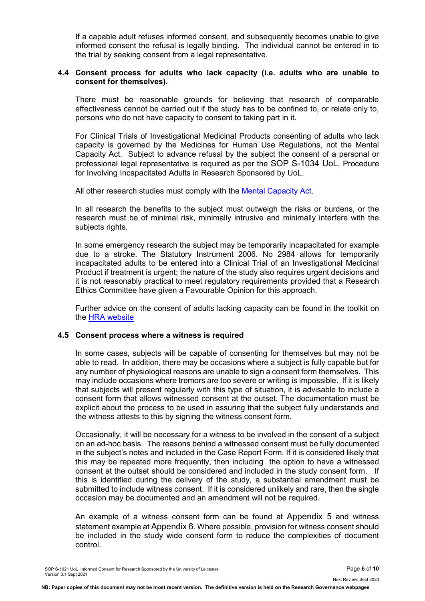If a capable adult refuses informed consent, and subsequently becomes unable to give informed consent the refusal is legally binding. The individual cannot be entered in to the trial by seeking consent from a legal representative.

#### **4.4 Consent process for adults who lack capacity (i.e. adults who are unable to consent for themselves).**

There must be reasonable grounds for believing that research of comparable effectiveness cannot be carried out if the study has to be confined to, or relate only to, persons who do not have capacity to consent to taking part in it.

For Clinical Trials of Investigational Medicinal Products consenting of adults who lack capacity is governed by the Medicines for Human Use Regulations, not the Mental Capacity Act. Subject to advance refusal by the subject the consent of a personal or professional legal representative is required as per the SOP S-1034 UoL, Procedure for Involving Incapacitated Adults in Research Sponsored by UoL.

All other research studies must comply with the [Mental Capacity Act.](http://www.legislation.gov.uk/ukpga/2005/9/contents)

In all research the benefits to the subject must outweigh the risks or burdens, or the research must be of minimal risk, minimally intrusive and minimally interfere with the subjects rights.

In some emergency research the subject may be temporarily incapacitated for example due to a stroke. The Statutory Instrument 2006. No 2984 allows for temporarily incapacitated adults to be entered into a Clinical Trial of an Investigational Medicinal Product if treatment is urgent; the nature of the study also requires urgent decisions and it is not reasonably practical to meet regulatory requirements provided that a Research Ethics Committee have given a Favourable Opinion for this approach.

Further advice on the consent of adults lacking capacity can be found in the toolkit on the [HRA website](http://www.hra.nhs.uk/resources/before-you-apply/consent-and-participation/consent-and-participant-information/)

#### **4.5 Consent process where a witness is required**

In some cases, subjects will be capable of consenting for themselves but may not be able to read. In addition, there may be occasions where a subject is fully capable but for any number of physiological reasons are unable to sign a consent form themselves. This may include occasions where tremors are too severe or writing is impossible. If it is likely that subjects will present regularly with this type of situation, it is advisable to include a consent form that allows witnessed consent at the outset. The documentation must be explicit about the process to be used in assuring that the subject fully understands and the witness attests to this by signing the witness consent form.

Occasionally, it will be necessary for a witness to be involved in the consent of a subject on an ad-hoc basis. The reasons behind a witnessed consent must be fully documented in the subject's notes and included in the Case Report Form. If it is considered likely that this may be repeated more frequently, then including the option to have a witnessed consent at the outset should be considered and included in the study consent form. If this is identified during the delivery of the study, a substantial amendment must be submitted to include witness consent. If it is considered unlikely and rare, then the single occasion may be documented and an amendment will not be required.

An example of a witness consent form can be found at Appendix 5 and witness statement example at Appendix 6. Where possible, provision for witness consent should be included in the study wide consent form to reduce the complexities of document control.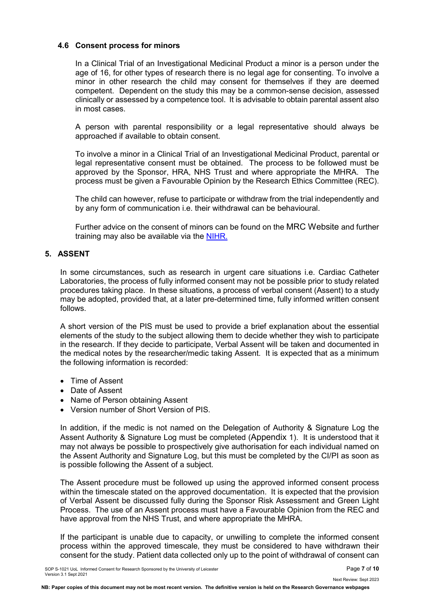## **4.6 Consent process for minors**

In a Clinical Trial of an Investigational Medicinal Product a minor is a person under the age of 16, for other types of research there is no legal age for consenting. To involve a minor in other research the child may consent for themselves if they are deemed competent. Dependent on the study this may be a common-sense decision, assessed clinically or assessed by a competence tool. It is advisable to obtain parental assent also in most cases.

A person with parental responsibility or a legal representative should always be approached if available to obtain consent.

To involve a minor in a Clinical Trial of an Investigational Medicinal Product, parental or legal representative consent must be obtained. The process to be followed must be approved by the Sponsor, HRA, NHS Trust and where appropriate the MHRA. The process must be given a Favourable Opinion by the Research Ethics Committee (REC).

The child can however, refuse to participate or withdraw from the trial independently and by any form of communication i.e. their withdrawal can be behavioural.

Further advice on the consent of minors can be found on the MRC Website and further training may also be available via the [NIHR.](http://www.crncc.nihr.ac.uk/workforce_development/learning_and_development/)

#### **5. ASSENT**

In some circumstances, such as research in urgent care situations i.e. Cardiac Catheter Laboratories, the process of fully informed consent may not be possible prior to study related procedures taking place. In these situations, a process of verbal consent (Assent) to a study may be adopted, provided that, at a later pre-determined time, fully informed written consent follows.

A short version of the PIS must be used to provide a brief explanation about the essential elements of the study to the subject allowing them to decide whether they wish to participate in the research. If they decide to participate, Verbal Assent will be taken and documented in the medical notes by the researcher/medic taking Assent. It is expected that as a minimum the following information is recorded:

- Time of Assent
- Date of Assent
- Name of Person obtaining Assent
- Version number of Short Version of PIS.

In addition, if the medic is not named on the Delegation of Authority & Signature Log the Assent Authority & Signature Log must be completed (Appendix 1). It is understood that it may not always be possible to prospectively give authorisation for each individual named on the Assent Authority and Signature Log, but this must be completed by the CI/PI as soon as is possible following the Assent of a subject.

The Assent procedure must be followed up using the approved informed consent process within the timescale stated on the approved documentation. It is expected that the provision of Verbal Assent be discussed fully during the Sponsor Risk Assessment and Green Light Process. The use of an Assent process must have a Favourable Opinion from the REC and have approval from the NHS Trust, and where appropriate the MHRA.

If the participant is unable due to capacity, or unwilling to complete the informed consent process within the approved timescale, they must be considered to have withdrawn their consent for the study. Patient data collected only up to the point of withdrawal of consent can

Next Review: Sept 2023

**NB: Paper copies of this document may not be most recent version. The definitive version is held on the Research Governance webpages**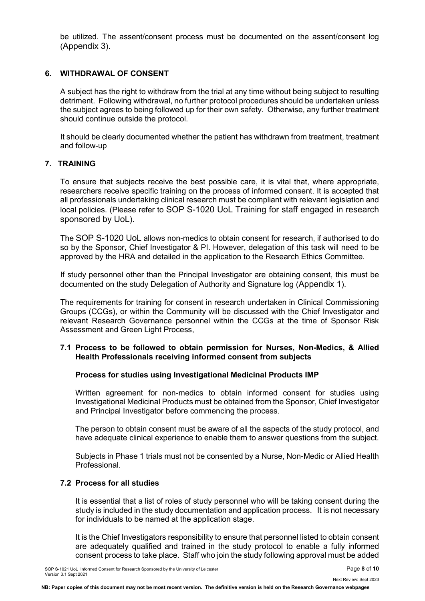be utilized. The assent/consent process must be documented on the assent/consent log (Appendix 3).

## **6. WITHDRAWAL OF CONSENT**

A subject has the right to withdraw from the trial at any time without being subject to resulting detriment. Following withdrawal, no further protocol procedures should be undertaken unless the subject agrees to being followed up for their own safety. Otherwise, any further treatment should continue outside the protocol.

It should be clearly documented whether the patient has withdrawn from treatment, treatment and follow-up

### **7. TRAINING**

To ensure that subjects receive the best possible care, it is vital that, where appropriate, researchers receive specific training on the process of informed consent. It is accepted that all professionals undertaking clinical research must be compliant with relevant legislation and local policies. (Please refer to SOP S-1020 UoL Training for staff engaged in research sponsored by UoL).

The SOP S-1020 UoL allows non-medics to obtain consent for research, if authorised to do so by the Sponsor, Chief Investigator & PI. However, delegation of this task will need to be approved by the HRA and detailed in the application to the Research Ethics Committee.

If study personnel other than the Principal Investigator are obtaining consent, this must be documented on the study Delegation of Authority and Signature log (Appendix 1).

The requirements for training for consent in research undertaken in Clinical Commissioning Groups (CCGs), or within the Community will be discussed with the Chief Investigator and relevant Research Governance personnel within the CCGs at the time of Sponsor Risk Assessment and Green Light Process,

#### **7.1 Process to be followed to obtain permission for Nurses, Non-Medics, & Allied Health Professionals receiving informed consent from subjects**

#### **Process for studies using Investigational Medicinal Products IMP**

Written agreement for non-medics to obtain informed consent for studies using Investigational Medicinal Products must be obtained from the Sponsor, Chief Investigator and Principal Investigator before commencing the process.

The person to obtain consent must be aware of all the aspects of the study protocol, and have adequate clinical experience to enable them to answer questions from the subject.

Subjects in Phase 1 trials must not be consented by a Nurse, Non-Medic or Allied Health Professional.

#### **7.2 Process for all studies**

It is essential that a list of roles of study personnel who will be taking consent during the study is included in the study documentation and application process. It is not necessary for individuals to be named at the application stage.

It is the Chief Investigators responsibility to ensure that personnel listed to obtain consent are adequately qualified and trained in the study protocol to enable a fully informed consent process to take place. Staff who join the study following approval must be added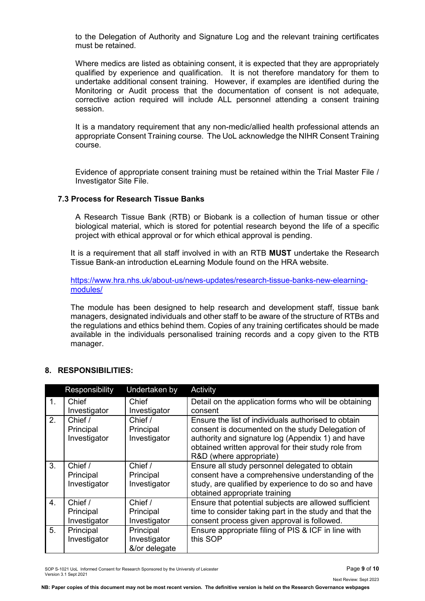to the Delegation of Authority and Signature Log and the relevant training certificates must be retained.

Where medics are listed as obtaining consent, it is expected that they are appropriately qualified by experience and qualification. It is not therefore mandatory for them to undertake additional consent training. However, if examples are identified during the Monitoring or Audit process that the documentation of consent is not adequate, corrective action required will include ALL personnel attending a consent training session.

It is a mandatory requirement that any non-medic/allied health professional attends an appropriate Consent Training course. The UoL acknowledge the NIHR Consent Training course.

Evidence of appropriate consent training must be retained within the Trial Master File / Investigator Site File.

## **7.3 Process for Research Tissue Banks**

A Research Tissue Bank (RTB) or Biobank is a collection of human tissue or other biological material, which is stored for potential research beyond the life of a specific project with ethical approval or for which ethical approval is pending.

It is a requirement that all staff involved in with an RTB **MUST** undertake the Research Tissue Bank-an introduction eLearning Module found on the HRA website.

[https://www.hra.nhs.uk/about-us/news-updates/research-tissue-banks-new-elearning](https://www.hra.nhs.uk/about-us/news-updates/research-tissue-banks-new-elearning-modules/)[modules/](https://www.hra.nhs.uk/about-us/news-updates/research-tissue-banks-new-elearning-modules/)

The module has been designed to help research and development staff, tissue bank managers, designated individuals and other staff to be aware of the structure of RTBs and the regulations and ethics behind them. Copies of any training certificates should be made available in the individuals personalised training records and a copy given to the RTB manager.

#### **8. RESPONSIBILITIES:**

|                  | Responsibility | Undertaken by | Activity                                               |
|------------------|----------------|---------------|--------------------------------------------------------|
| 1 <sub>1</sub>   | Chief          | Chief         | Detail on the application forms who will be obtaining  |
|                  | Investigator   | Investigator  | consent                                                |
| 2.               | Chief /        | Chief $/$     | Ensure the list of individuals authorised to obtain    |
|                  | Principal      | Principal     | consent is documented on the study Delegation of       |
|                  | Investigator   | Investigator  | authority and signature log (Appendix 1) and have      |
|                  |                |               | obtained written approval for their study role from    |
|                  |                |               | R&D (where appropriate)                                |
| 3.               | Chief /        | Chief /       | Ensure all study personnel delegated to obtain         |
|                  | Principal      | Principal     | consent have a comprehensive understanding of the      |
|                  | Investigator   | Investigator  | study, are qualified by experience to do so and have   |
|                  |                |               | obtained appropriate training                          |
| $\overline{4}$ . | Chief $/$      | Chief /       | Ensure that potential subjects are allowed sufficient  |
|                  | Principal      | Principal     | time to consider taking part in the study and that the |
|                  | Investigator   | Investigator  | consent process given approval is followed.            |
| 5.               | Principal      | Principal     | Ensure appropriate filing of PIS & ICF in line with    |
|                  | Investigator   | Investigator  | this SOP                                               |
|                  |                | &/or delegate |                                                        |

SOP S-1021 UoL Informed Consent for Research Sponsored by the University of Leicester Page **9** of **10** Version 3.1 Sept 2021

Next Review: Sept 2023

**NB: Paper copies of this document may not be most recent version. The definitive version is held on the Research Governance webpages**